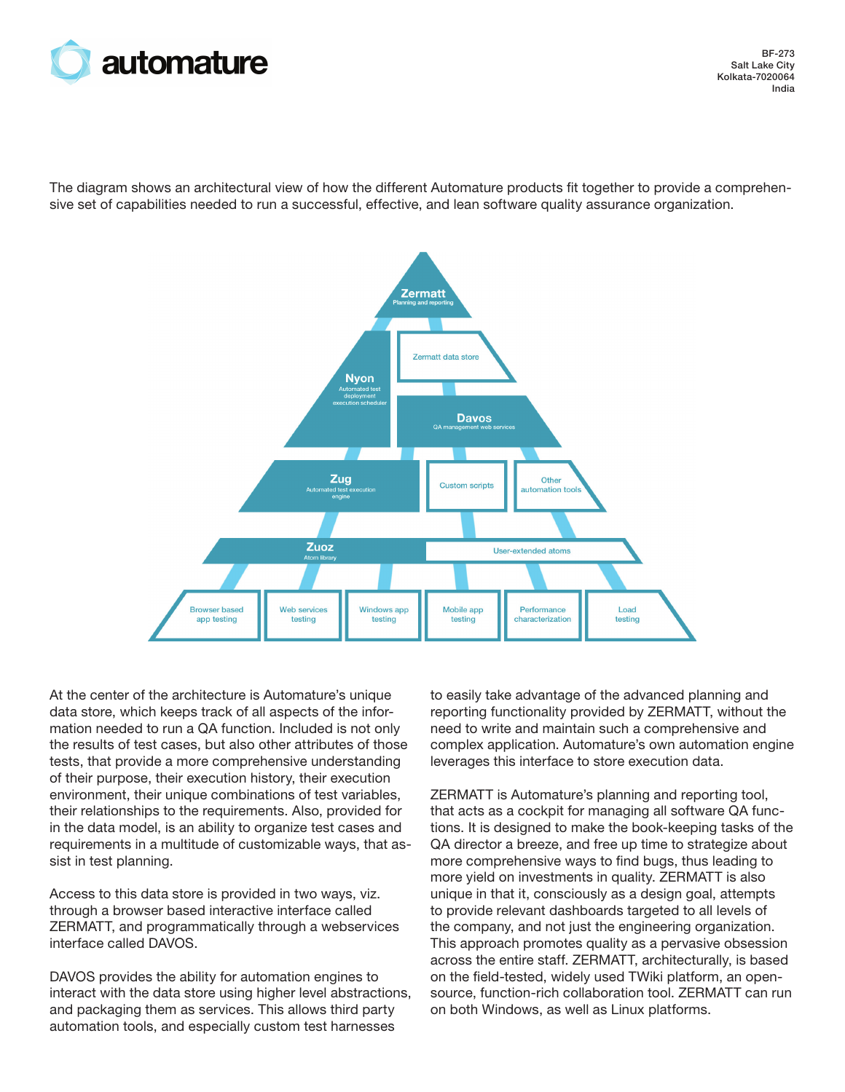

BF-273 Salt Lake City Kolkata-7020064 India

The diagram shows an architectural view of how the different Automature products fit together to provide a comprehensive set of capabilities needed to run a successful, effective, and lean software quality assurance organization.



At the center of the architecture is Automature's unique data store, which keeps track of all aspects of the information needed to run a QA function. Included is not only the results of test cases, but also other attributes of those tests, that provide a more comprehensive understanding of their purpose, their execution history, their execution environment, their unique combinations of test variables, their relationships to the requirements. Also, provided for in the data model, is an ability to organize test cases and requirements in a multitude of customizable ways, that assist in test planning.

Access to this data store is provided in two ways, viz. through a browser based interactive interface called ZERMATT, and programmatically through a webservices interface called DAVOS.

DAVOS provides the ability for automation engines to interact with the data store using higher level abstractions, and packaging them as services. This allows third party automation tools, and especially custom test harnesses

to easily take advantage of the advanced planning and reporting functionality provided by ZERMATT, without the need to write and maintain such a comprehensive and complex application. Automature's own automation engine leverages this interface to store execution data.

ZERMATT is Automature's planning and reporting tool, that acts as a cockpit for managing all software QA functions. It is designed to make the book-keeping tasks of the QA director a breeze, and free up time to strategize about more comprehensive ways to find bugs, thus leading to more yield on investments in quality. ZERMATT is also unique in that it, consciously as a design goal, attempts to provide relevant dashboards targeted to all levels of the company, and not just the engineering organization. This approach promotes quality as a pervasive obsession across the entire staff. ZERMATT, architecturally, is based on the field-tested, widely used TWiki platform, an opensource, function-rich collaboration tool. ZERMATT can run on both Windows, as well as Linux platforms.